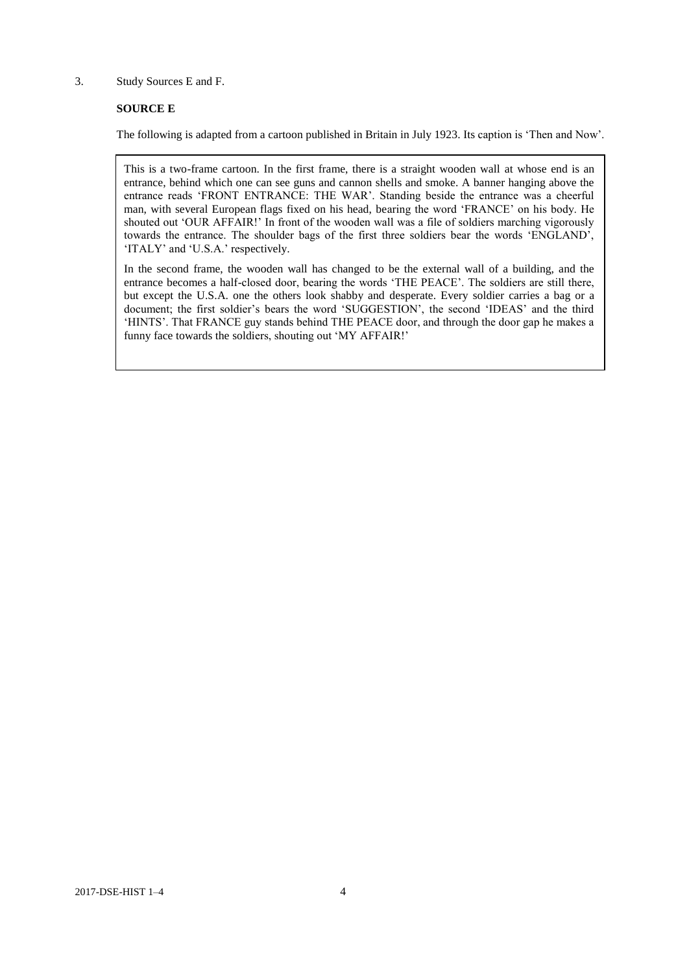## 3. Study Sources E and F.

## **SOURCE E**

The following is adapted from a cartoon published in Britain in July 1923. Its caption is 'Then and Now'.

This is a two-frame cartoon. In the first frame, there is a straight wooden wall at whose end is an entrance, behind which one can see guns and cannon shells and smoke. A banner hanging above the entrance reads 'FRONT ENTRANCE: THE WAR'. Standing beside the entrance was a cheerful man, with several European flags fixed on his head, bearing the word 'FRANCE' on his body. He shouted out 'OUR AFFAIR!' In front of the wooden wall was a file of soldiers marching vigorously towards the entrance. The shoulder bags of the first three soldiers bear the words 'ENGLAND', 'ITALY' and 'U.S.A.' respectively.

In the second frame, the wooden wall has changed to be the external wall of a building, and the entrance becomes a half-closed door, bearing the words 'THE PEACE'. The soldiers are still there, but except the U.S.A. one the others look shabby and desperate. Every soldier carries a bag or a document; the first soldier's bears the word 'SUGGESTION', the second 'IDEAS' and the third 'HINTS'. That FRANCE guy stands behind THE PEACE door, and through the door gap he makes a funny face towards the soldiers, shouting out 'MY AFFAIR!'